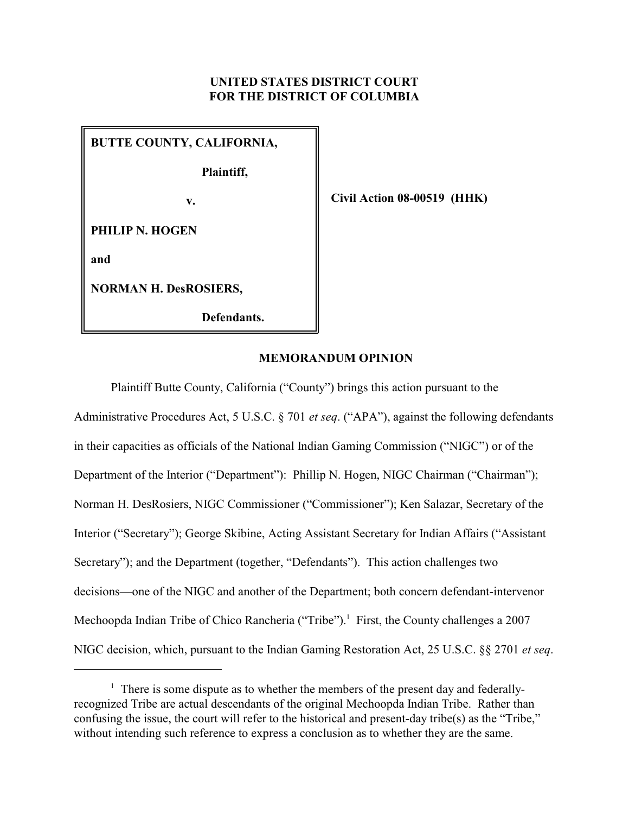# **UNITED STATES DISTRICT COURT FOR THE DISTRICT OF COLUMBIA**

| <b>BUTTE COUNTY, CALIFORNIA,</b> |
|----------------------------------|
| Plaintiff,                       |
| v.                               |
| <b>PHILIP N. HOGEN</b>           |
| and                              |
| <b>NORMAN H. DesROSIERS,</b>     |
| Defendants.                      |

**Civil Action 08-00519 (HHK)**

#### **MEMORANDUM OPINION**

Plaintiff Butte County, California ("County") brings this action pursuant to the Administrative Procedures Act, 5 U.S.C. § 701 *et seq*. ("APA"), against the following defendants in their capacities as officials of the National Indian Gaming Commission ("NIGC") or of the Department of the Interior ("Department"): Phillip N. Hogen, NIGC Chairman ("Chairman"); Norman H. DesRosiers, NIGC Commissioner ("Commissioner"); Ken Salazar, Secretary of the Interior ("Secretary"); George Skibine, Acting Assistant Secretary for Indian Affairs ("Assistant Secretary"); and the Department (together, "Defendants"). This action challenges two decisions—one of the NIGC and another of the Department; both concern defendant-intervenor Mechoopda Indian Tribe of Chico Rancheria ("Tribe").<sup>1</sup> First, the County challenges a 2007 NIGC decision, which, pursuant to the Indian Gaming Restoration Act, 25 U.S.C. §§ 2701 *et seq*.

 $<sup>1</sup>$  There is some dispute as to whether the members of the present day and federally-</sup> recognized Tribe are actual descendants of the original Mechoopda Indian Tribe. Rather than confusing the issue, the court will refer to the historical and present-day tribe(s) as the "Tribe," without intending such reference to express a conclusion as to whether they are the same.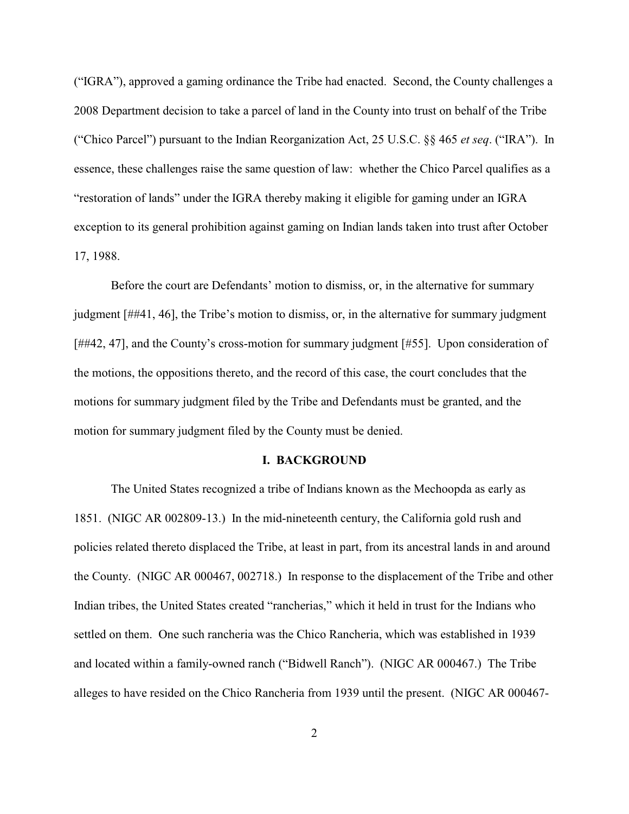("IGRA"), approved a gaming ordinance the Tribe had enacted. Second, the County challenges a 2008 Department decision to take a parcel of land in the County into trust on behalf of the Tribe ("Chico Parcel") pursuant to the Indian Reorganization Act, 25 U.S.C. §§ 465 *et seq*. ("IRA"). In essence, these challenges raise the same question of law: whether the Chico Parcel qualifies as a "restoration of lands" under the IGRA thereby making it eligible for gaming under an IGRA exception to its general prohibition against gaming on Indian lands taken into trust after October 17, 1988.

Before the court are Defendants' motion to dismiss, or, in the alternative for summary judgment [##41, 46], the Tribe's motion to dismiss, or, in the alternative for summary judgment [##42, 47], and the County's cross-motion for summary judgment [#55]. Upon consideration of the motions, the oppositions thereto, and the record of this case, the court concludes that the motions for summary judgment filed by the Tribe and Defendants must be granted, and the motion for summary judgment filed by the County must be denied.

## **I. BACKGROUND**

The United States recognized a tribe of Indians known as the Mechoopda as early as 1851. (NIGC AR 002809-13.) In the mid-nineteenth century, the California gold rush and policies related thereto displaced the Tribe, at least in part, from its ancestral lands in and around the County. (NIGC AR 000467, 002718.) In response to the displacement of the Tribe and other Indian tribes, the United States created "rancherias," which it held in trust for the Indians who settled on them. One such rancheria was the Chico Rancheria, which was established in 1939 and located within a family-owned ranch ("Bidwell Ranch"). (NIGC AR 000467.) The Tribe alleges to have resided on the Chico Rancheria from 1939 until the present. (NIGC AR 000467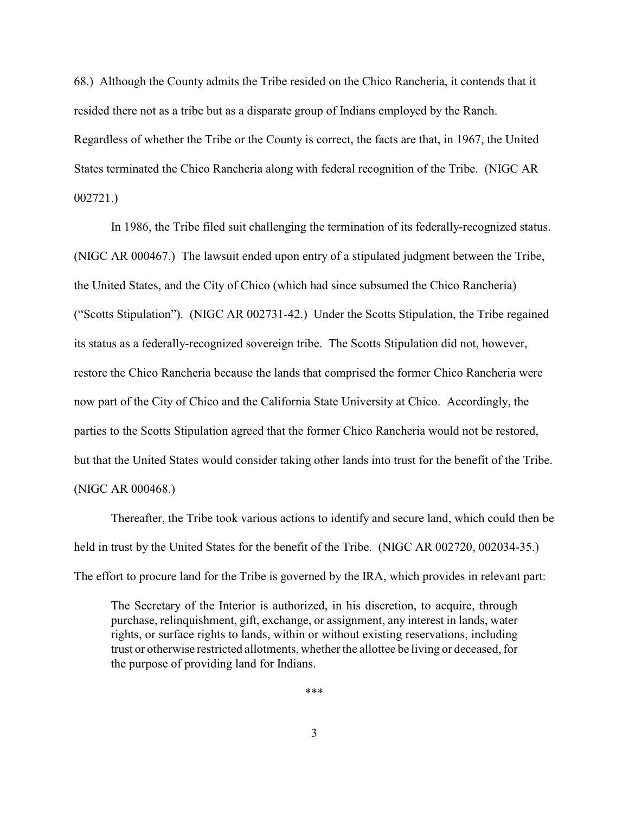68.) Although the County admits the Tribe resided on the Chico Rancheria, it contends that it resided there not as a tribe but as a disparate group of Indians employed by the Ranch. Regardless of whether the Tribe or the County is correct, the facts are that, in 1967, the United States terminated the Chico Rancheria along with federal recognition of the Tribe. (NIGC AR 002721.)

In 1986, the Tribe filed suit challenging the termination of its federally-recognized status. (NIGC AR 000467.) The lawsuit ended upon entry of a stipulated judgment between the Tribe, the United States, and the City of Chico (which had since subsumed the Chico Rancheria) ("Scotts Stipulation"). (NIGC AR 002731-42.) Under the Scotts Stipulation, the Tribe regained its status as a federally-recognized sovereign tribe. The Scotts Stipulation did not, however, restore the Chico Rancheria because the lands that comprised the former Chico Rancheria were now part of the City of Chico and the California State University at Chico. Accordingly, the parties to the Scotts Stipulation agreed that the former Chico Rancheria would not be restored, but that the United States would consider taking other lands into trust for the benefit of the Tribe. (NIGC AR 000468.)

Thereafter, the Tribe took various actions to identify and secure land, which could then be held in trust by the United States for the benefit of the Tribe. (NIGC AR 002720, 002034-35.) The effort to procure land for the Tribe is governed by the IRA, which provides in relevant part:

The Secretary of the Interior is authorized, in his discretion, to acquire, through purchase, relinquishment, gift, exchange, or assignment, any interest in lands, water rights, or surface rights to lands, within or without existing reservations, including trust or otherwise restricted allotments, whether the allottee be living or deceased, for the purpose of providing land for Indians.

\*\*\*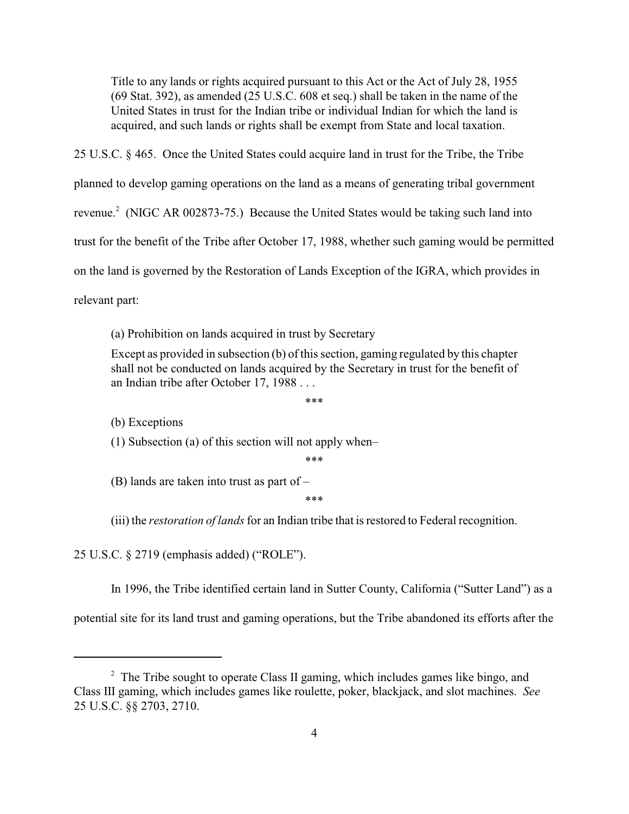Title to any lands or rights acquired pursuant to this Act or the Act of July 28, 1955 (69 Stat. 392), as amended (25 U.S.C. 608 et seq.) shall be taken in the name of the United States in trust for the Indian tribe or individual Indian for which the land is acquired, and such lands or rights shall be exempt from State and local taxation.

25 U.S.C. § 465. Once the United States could acquire land in trust for the Tribe, the Tribe planned to develop gaming operations on the land as a means of generating tribal government revenue.<sup>2</sup> (NIGC AR 002873-75.) Because the United States would be taking such land into trust for the benefit of the Tribe after October 17, 1988, whether such gaming would be permitted on the land is governed by the Restoration of Lands Exception of the IGRA, which provides in relevant part:

(a) Prohibition on lands acquired in trust by Secretary

Except as provided in subsection (b) of this section, gaming regulated by this chapter shall not be conducted on lands acquired by the Secretary in trust for the benefit of an Indian tribe after October 17, 1988 . . .

\*\*\*

(b) Exceptions

(1) Subsection (a) of this section will not apply when–

\*\*\*

(B) lands are taken into trust as part of –

\*\*\*

(iii) the *restoration of lands* for an Indian tribe that is restored to Federal recognition.

25 U.S.C. § 2719 (emphasis added) ("ROLE").

In 1996, the Tribe identified certain land in Sutter County, California ("Sutter Land") as a

potential site for its land trust and gaming operations, but the Tribe abandoned its efforts after the

 $\frac{1}{2}$  The Tribe sought to operate Class II gaming, which includes games like bingo, and Class III gaming, which includes games like roulette, poker, blackjack, and slot machines. *See* 25 U.S.C. §§ 2703, 2710.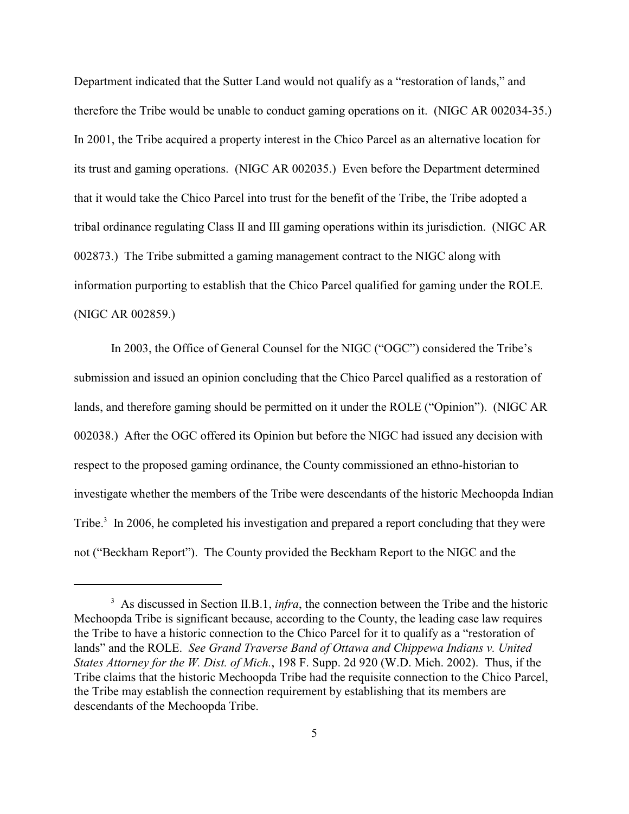Department indicated that the Sutter Land would not qualify as a "restoration of lands," and therefore the Tribe would be unable to conduct gaming operations on it. (NIGC AR 002034-35.) In 2001, the Tribe acquired a property interest in the Chico Parcel as an alternative location for its trust and gaming operations. (NIGC AR 002035.) Even before the Department determined that it would take the Chico Parcel into trust for the benefit of the Tribe, the Tribe adopted a tribal ordinance regulating Class II and III gaming operations within its jurisdiction. (NIGC AR 002873.) The Tribe submitted a gaming management contract to the NIGC along with information purporting to establish that the Chico Parcel qualified for gaming under the ROLE. (NIGC AR 002859.)

In 2003, the Office of General Counsel for the NIGC ("OGC") considered the Tribe's submission and issued an opinion concluding that the Chico Parcel qualified as a restoration of lands, and therefore gaming should be permitted on it under the ROLE ("Opinion"). (NIGC AR 002038.) After the OGC offered its Opinion but before the NIGC had issued any decision with respect to the proposed gaming ordinance, the County commissioned an ethno-historian to investigate whether the members of the Tribe were descendants of the historic Mechoopda Indian Tribe. $3 \text{ In } 2006$ , he completed his investigation and prepared a report concluding that they were not ("Beckham Report"). The County provided the Beckham Report to the NIGC and the

 $3\text{ A}s$  discussed in Section II.B.1, *infra*, the connection between the Tribe and the historic Mechoopda Tribe is significant because, according to the County, the leading case law requires the Tribe to have a historic connection to the Chico Parcel for it to qualify as a "restoration of lands" and the ROLE. *See Grand Traverse Band of Ottawa and Chippewa Indians v. United States Attorney for the W. Dist. of Mich.*, 198 F. Supp. 2d 920 (W.D. Mich. 2002). Thus, if the Tribe claims that the historic Mechoopda Tribe had the requisite connection to the Chico Parcel, the Tribe may establish the connection requirement by establishing that its members are descendants of the Mechoopda Tribe.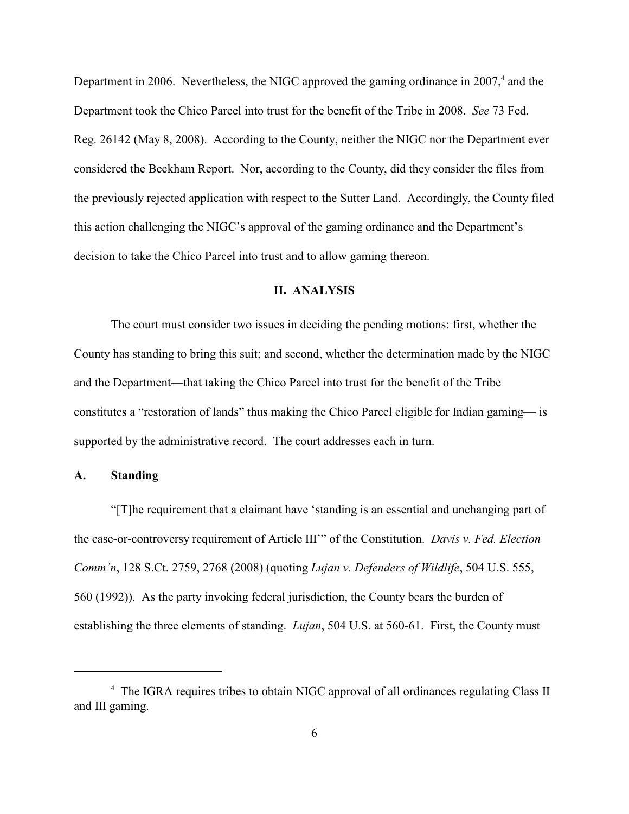Department in 2006. Nevertheless, the NIGC approved the gaming ordinance in  $2007<sup>4</sup>$  and the Department took the Chico Parcel into trust for the benefit of the Tribe in 2008. *See* 73 Fed. Reg. 26142 (May 8, 2008). According to the County, neither the NIGC nor the Department ever considered the Beckham Report. Nor, according to the County, did they consider the files from the previously rejected application with respect to the Sutter Land. Accordingly, the County filed this action challenging the NIGC's approval of the gaming ordinance and the Department's decision to take the Chico Parcel into trust and to allow gaming thereon.

#### **II. ANALYSIS**

The court must consider two issues in deciding the pending motions: first, whether the County has standing to bring this suit; and second, whether the determination made by the NIGC and the Department—that taking the Chico Parcel into trust for the benefit of the Tribe constitutes a "restoration of lands" thus making the Chico Parcel eligible for Indian gaming— is supported by the administrative record. The court addresses each in turn.

## **A. Standing**

"[T]he requirement that a claimant have 'standing is an essential and unchanging part of the case-or-controversy requirement of Article III'" of the Constitution. *Davis v. Fed. Election Comm'n*, 128 S.Ct. 2759, 2768 (2008) (quoting *Lujan v. Defenders of Wildlife*, 504 U.S. 555, 560 (1992)). As the party invoking federal jurisdiction, the County bears the burden of establishing the three elements of standing. *Lujan*, 504 U.S. at 560-61. First, the County must

<sup>&</sup>lt;sup>4</sup> The IGRA requires tribes to obtain NIGC approval of all ordinances regulating Class II and III gaming.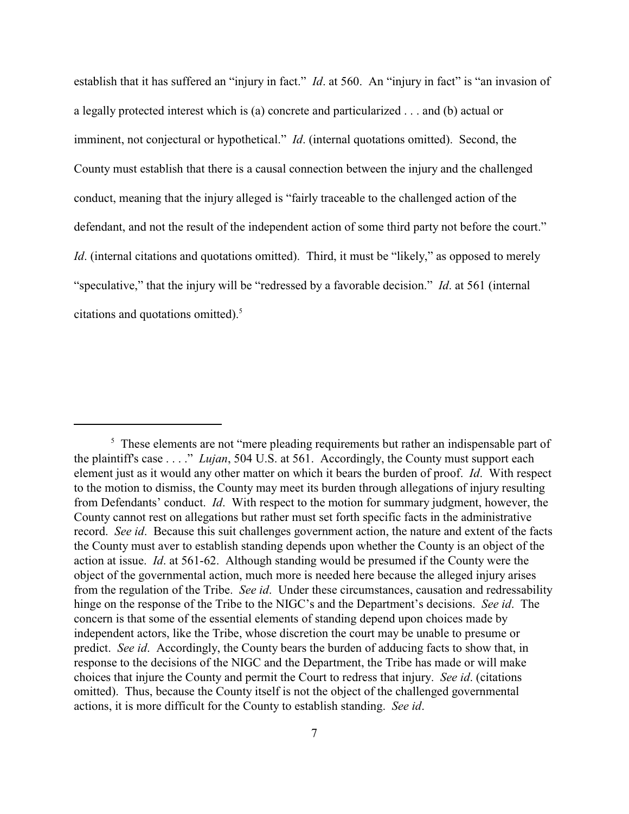establish that it has suffered an "injury in fact." *Id.* at 560. An "injury in fact" is "an invasion of a legally protected interest which is (a) concrete and particularized . . . and (b) actual or imminent, not conjectural or hypothetical." *Id*. (internal quotations omitted). Second, the County must establish that there is a causal connection between the injury and the challenged conduct, meaning that the injury alleged is "fairly traceable to the challenged action of the defendant, and not the result of the independent action of some third party not before the court." *Id.* (internal citations and quotations omitted). Third, it must be "likely," as opposed to merely "speculative," that the injury will be "redressed by a favorable decision." *Id*. at 561 (internal citations and quotations omitted).<sup>5</sup>

 $\frac{1}{5}$  These elements are not "mere pleading requirements but rather an indispensable part of the plaintiff's case . . . ." *Lujan*, 504 U.S. at 561. Accordingly, the County must support each element just as it would any other matter on which it bears the burden of proof. *Id*. With respect to the motion to dismiss, the County may meet its burden through allegations of injury resulting from Defendants' conduct. *Id*. With respect to the motion for summary judgment, however, the County cannot rest on allegations but rather must set forth specific facts in the administrative record. *See id*. Because this suit challenges government action, the nature and extent of the facts the County must aver to establish standing depends upon whether the County is an object of the action at issue. *Id*. at 561-62. Although standing would be presumed if the County were the object of the governmental action, much more is needed here because the alleged injury arises from the regulation of the Tribe. *See id*. Under these circumstances, causation and redressability hinge on the response of the Tribe to the NIGC's and the Department's decisions. *See id*. The concern is that some of the essential elements of standing depend upon choices made by independent actors, like the Tribe, whose discretion the court may be unable to presume or predict. *See id*. Accordingly, the County bears the burden of adducing facts to show that, in response to the decisions of the NIGC and the Department, the Tribe has made or will make choices that injure the County and permit the Court to redress that injury. *See id*. (citations omitted). Thus, because the County itself is not the object of the challenged governmental actions, it is more difficult for the County to establish standing. *See id*.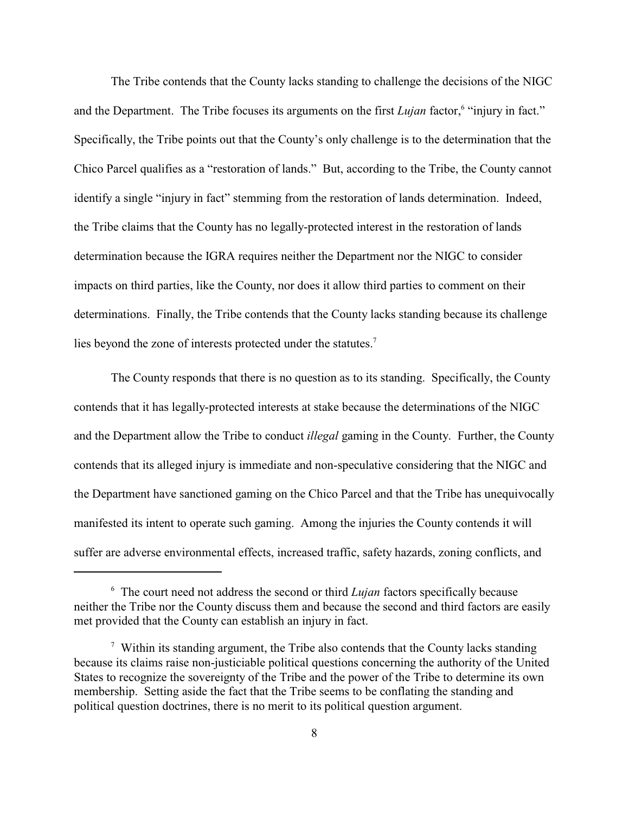The Tribe contends that the County lacks standing to challenge the decisions of the NIGC and the Department. The Tribe focuses its arguments on the first *Lujan* factor, "injury in fact." Specifically, the Tribe points out that the County's only challenge is to the determination that the Chico Parcel qualifies as a "restoration of lands." But, according to the Tribe, the County cannot identify a single "injury in fact" stemming from the restoration of lands determination. Indeed, the Tribe claims that the County has no legally-protected interest in the restoration of lands determination because the IGRA requires neither the Department nor the NIGC to consider impacts on third parties, like the County, nor does it allow third parties to comment on their determinations. Finally, the Tribe contends that the County lacks standing because its challenge lies beyond the zone of interests protected under the statutes.<sup>7</sup>

The County responds that there is no question as to its standing. Specifically, the County contends that it has legally-protected interests at stake because the determinations of the NIGC and the Department allow the Tribe to conduct *illegal* gaming in the County. Further, the County contends that its alleged injury is immediate and non-speculative considering that the NIGC and the Department have sanctioned gaming on the Chico Parcel and that the Tribe has unequivocally manifested its intent to operate such gaming. Among the injuries the County contends it will suffer are adverse environmental effects, increased traffic, safety hazards, zoning conflicts, and

 $6$  The court need not address the second or third *Lujan* factors specifically because neither the Tribe nor the County discuss them and because the second and third factors are easily met provided that the County can establish an injury in fact.

 $\frac{7}{1}$  Within its standing argument, the Tribe also contends that the County lacks standing because its claims raise non-justiciable political questions concerning the authority of the United States to recognize the sovereignty of the Tribe and the power of the Tribe to determine its own membership. Setting aside the fact that the Tribe seems to be conflating the standing and political question doctrines, there is no merit to its political question argument.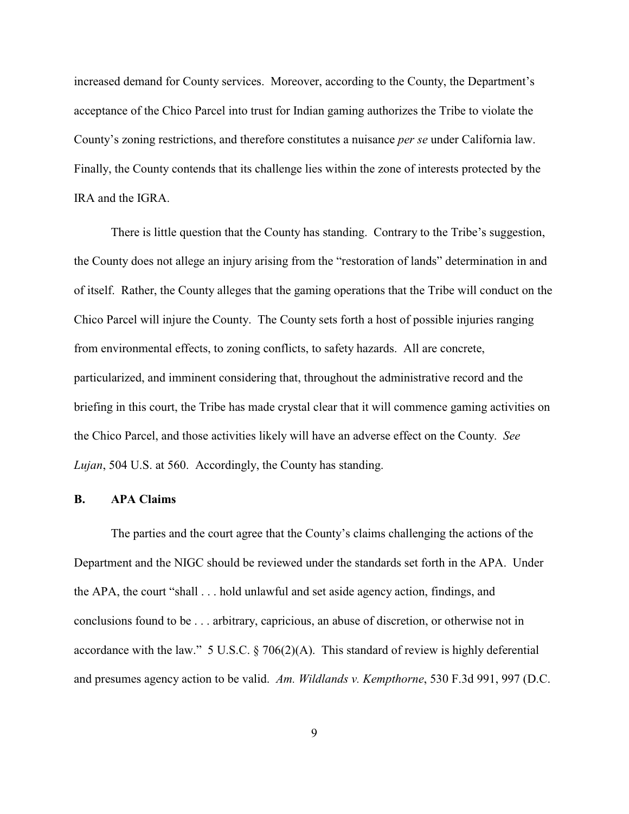increased demand for County services. Moreover, according to the County, the Department's acceptance of the Chico Parcel into trust for Indian gaming authorizes the Tribe to violate the County's zoning restrictions, and therefore constitutes a nuisance *per se* under California law. Finally, the County contends that its challenge lies within the zone of interests protected by the IRA and the IGRA.

There is little question that the County has standing. Contrary to the Tribe's suggestion, the County does not allege an injury arising from the "restoration of lands" determination in and of itself. Rather, the County alleges that the gaming operations that the Tribe will conduct on the Chico Parcel will injure the County. The County sets forth a host of possible injuries ranging from environmental effects, to zoning conflicts, to safety hazards. All are concrete, particularized, and imminent considering that, throughout the administrative record and the briefing in this court, the Tribe has made crystal clear that it will commence gaming activities on the Chico Parcel, and those activities likely will have an adverse effect on the County. *See Lujan*, 504 U.S. at 560. Accordingly, the County has standing.

## **B. APA Claims**

The parties and the court agree that the County's claims challenging the actions of the Department and the NIGC should be reviewed under the standards set forth in the APA. Under the APA, the court "shall . . . hold unlawful and set aside agency action, findings, and conclusions found to be . . . arbitrary, capricious, an abuse of discretion, or otherwise not in accordance with the law." 5 U.S.C.  $\S$  706(2)(A). This standard of review is highly deferential and presumes agency action to be valid. *Am. Wildlands v. Kempthorne*, 530 F.3d 991, 997 (D.C.

9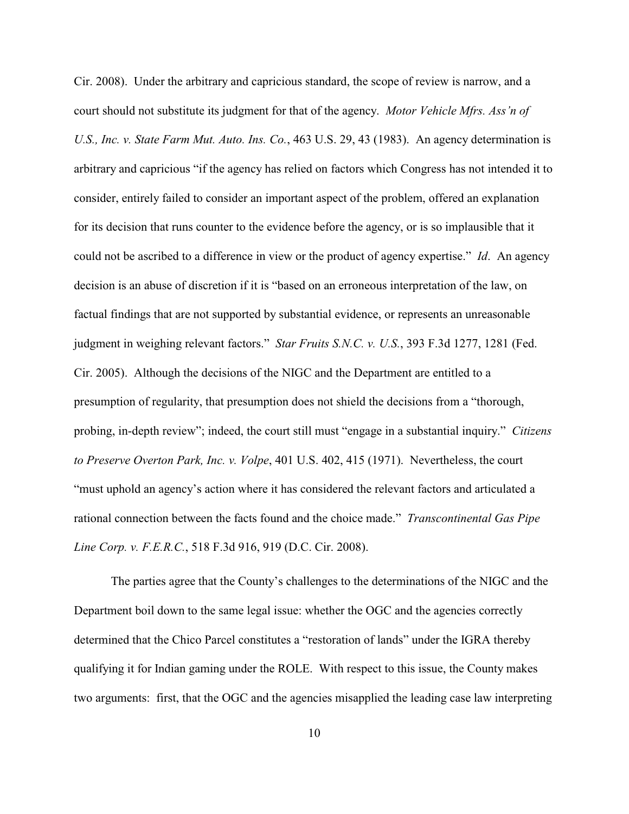Cir. 2008). Under the arbitrary and capricious standard, the scope of review is narrow, and a court should not substitute its judgment for that of the agency. *Motor Vehicle Mfrs. Ass'n of U.S., Inc. v. State Farm Mut. Auto. Ins. Co.*, 463 U.S. 29, 43 (1983). An agency determination is arbitrary and capricious "if the agency has relied on factors which Congress has not intended it to consider, entirely failed to consider an important aspect of the problem, offered an explanation for its decision that runs counter to the evidence before the agency, or is so implausible that it could not be ascribed to a difference in view or the product of agency expertise." *Id*. An agency decision is an abuse of discretion if it is "based on an erroneous interpretation of the law, on factual findings that are not supported by substantial evidence, or represents an unreasonable judgment in weighing relevant factors." *Star Fruits S.N.C. v. U.S.*, 393 F.3d 1277, 1281 (Fed. Cir. 2005). Although the decisions of the NIGC and the Department are entitled to a presumption of regularity, that presumption does not shield the decisions from a "thorough, probing, in-depth review"; indeed, the court still must "engage in a substantial inquiry." *Citizens to Preserve Overton Park, Inc. v. Volpe*, 401 U.S. 402, 415 (1971). Nevertheless, the court "must uphold an agency's action where it has considered the relevant factors and articulated a rational connection between the facts found and the choice made." *Transcontinental Gas Pipe Line Corp. v. F.E.R.C.*, 518 F.3d 916, 919 (D.C. Cir. 2008).

The parties agree that the County's challenges to the determinations of the NIGC and the Department boil down to the same legal issue: whether the OGC and the agencies correctly determined that the Chico Parcel constitutes a "restoration of lands" under the IGRA thereby qualifying it for Indian gaming under the ROLE. With respect to this issue, the County makes two arguments: first, that the OGC and the agencies misapplied the leading case law interpreting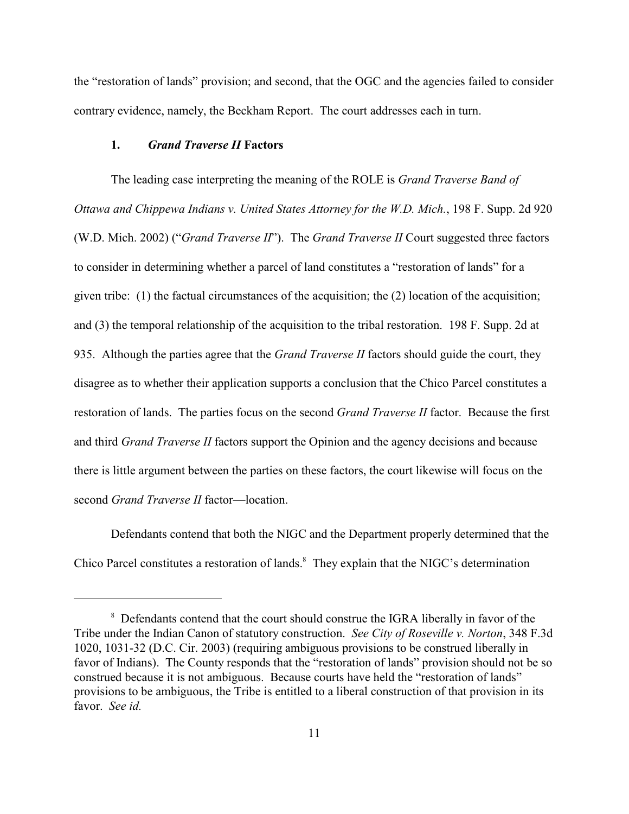the "restoration of lands" provision; and second, that the OGC and the agencies failed to consider contrary evidence, namely, the Beckham Report. The court addresses each in turn.

#### **1.** *Grand Traverse II* **Factors**

The leading case interpreting the meaning of the ROLE is *Grand Traverse Band of Ottawa and Chippewa Indians v. United States Attorney for the W.D. Mich.*, 198 F. Supp. 2d 920 (W.D. Mich. 2002) ("*Grand Traverse II*"). The *Grand Traverse II* Court suggested three factors to consider in determining whether a parcel of land constitutes a "restoration of lands" for a given tribe: (1) the factual circumstances of the acquisition; the (2) location of the acquisition; and (3) the temporal relationship of the acquisition to the tribal restoration. 198 F. Supp. 2d at 935. Although the parties agree that the *Grand Traverse II* factors should guide the court, they disagree as to whether their application supports a conclusion that the Chico Parcel constitutes a restoration of lands. The parties focus on the second *Grand Traverse II* factor. Because the first and third *Grand Traverse II* factors support the Opinion and the agency decisions and because there is little argument between the parties on these factors, the court likewise will focus on the second *Grand Traverse II* factor—location.

Defendants contend that both the NIGC and the Department properly determined that the Chico Parcel constitutes a restoration of lands.<sup>8</sup> They explain that the NIGC's determination

<sup>&</sup>lt;sup>8</sup> Defendants contend that the court should construe the IGRA liberally in favor of the Tribe under the Indian Canon of statutory construction. *See City of Roseville v. Norton*, 348 F.3d 1020, 1031-32 (D.C. Cir. 2003) (requiring ambiguous provisions to be construed liberally in favor of Indians). The County responds that the "restoration of lands" provision should not be so construed because it is not ambiguous. Because courts have held the "restoration of lands" provisions to be ambiguous, the Tribe is entitled to a liberal construction of that provision in its favor. *See id.*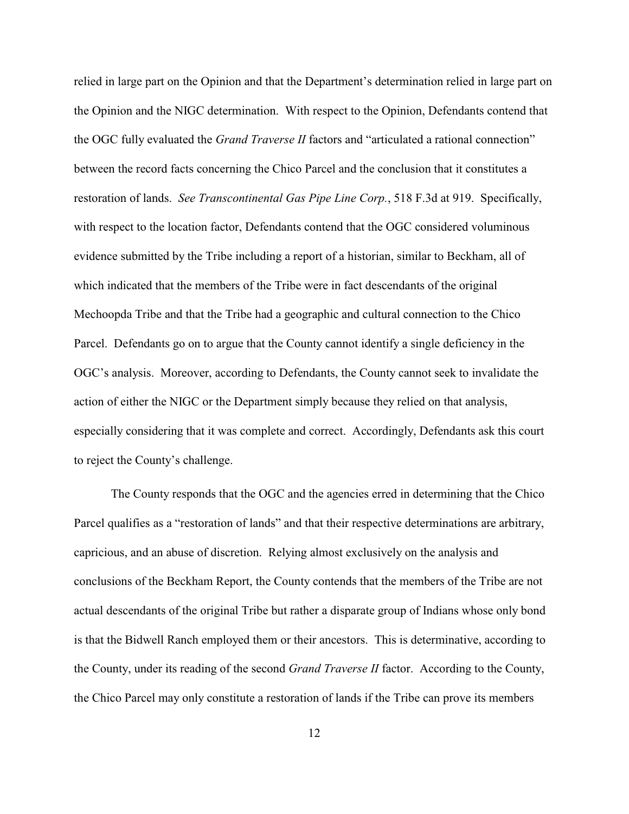relied in large part on the Opinion and that the Department's determination relied in large part on the Opinion and the NIGC determination. With respect to the Opinion, Defendants contend that the OGC fully evaluated the *Grand Traverse II* factors and "articulated a rational connection" between the record facts concerning the Chico Parcel and the conclusion that it constitutes a restoration of lands. *See Transcontinental Gas Pipe Line Corp.*, 518 F.3d at 919. Specifically, with respect to the location factor, Defendants contend that the OGC considered voluminous evidence submitted by the Tribe including a report of a historian, similar to Beckham, all of which indicated that the members of the Tribe were in fact descendants of the original Mechoopda Tribe and that the Tribe had a geographic and cultural connection to the Chico Parcel. Defendants go on to argue that the County cannot identify a single deficiency in the OGC's analysis. Moreover, according to Defendants, the County cannot seek to invalidate the action of either the NIGC or the Department simply because they relied on that analysis, especially considering that it was complete and correct. Accordingly, Defendants ask this court to reject the County's challenge.

The County responds that the OGC and the agencies erred in determining that the Chico Parcel qualifies as a "restoration of lands" and that their respective determinations are arbitrary, capricious, and an abuse of discretion. Relying almost exclusively on the analysis and conclusions of the Beckham Report, the County contends that the members of the Tribe are not actual descendants of the original Tribe but rather a disparate group of Indians whose only bond is that the Bidwell Ranch employed them or their ancestors. This is determinative, according to the County, under its reading of the second *Grand Traverse II* factor. According to the County, the Chico Parcel may only constitute a restoration of lands if the Tribe can prove its members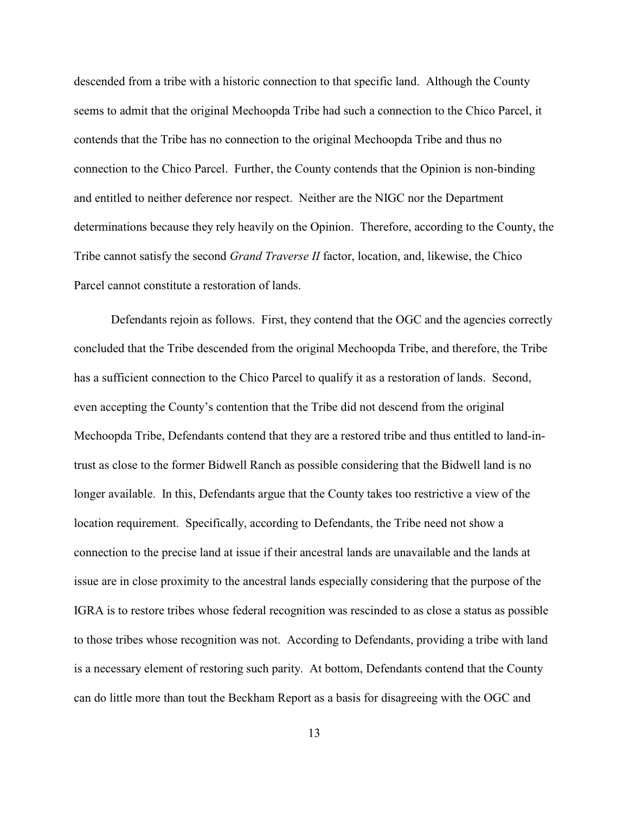descended from a tribe with a historic connection to that specific land. Although the County seems to admit that the original Mechoopda Tribe had such a connection to the Chico Parcel, it contends that the Tribe has no connection to the original Mechoopda Tribe and thus no connection to the Chico Parcel. Further, the County contends that the Opinion is non-binding and entitled to neither deference nor respect. Neither are the NIGC nor the Department determinations because they rely heavily on the Opinion. Therefore, according to the County, the Tribe cannot satisfy the second *Grand Traverse II* factor, location, and, likewise, the Chico Parcel cannot constitute a restoration of lands.

Defendants rejoin as follows. First, they contend that the OGC and the agencies correctly concluded that the Tribe descended from the original Mechoopda Tribe, and therefore, the Tribe has a sufficient connection to the Chico Parcel to qualify it as a restoration of lands. Second, even accepting the County's contention that the Tribe did not descend from the original Mechoopda Tribe, Defendants contend that they are a restored tribe and thus entitled to land-intrust as close to the former Bidwell Ranch as possible considering that the Bidwell land is no longer available. In this, Defendants argue that the County takes too restrictive a view of the location requirement. Specifically, according to Defendants, the Tribe need not show a connection to the precise land at issue if their ancestral lands are unavailable and the lands at issue are in close proximity to the ancestral lands especially considering that the purpose of the IGRA is to restore tribes whose federal recognition was rescinded to as close a status as possible to those tribes whose recognition was not. According to Defendants, providing a tribe with land is a necessary element of restoring such parity. At bottom, Defendants contend that the County can do little more than tout the Beckham Report as a basis for disagreeing with the OGC and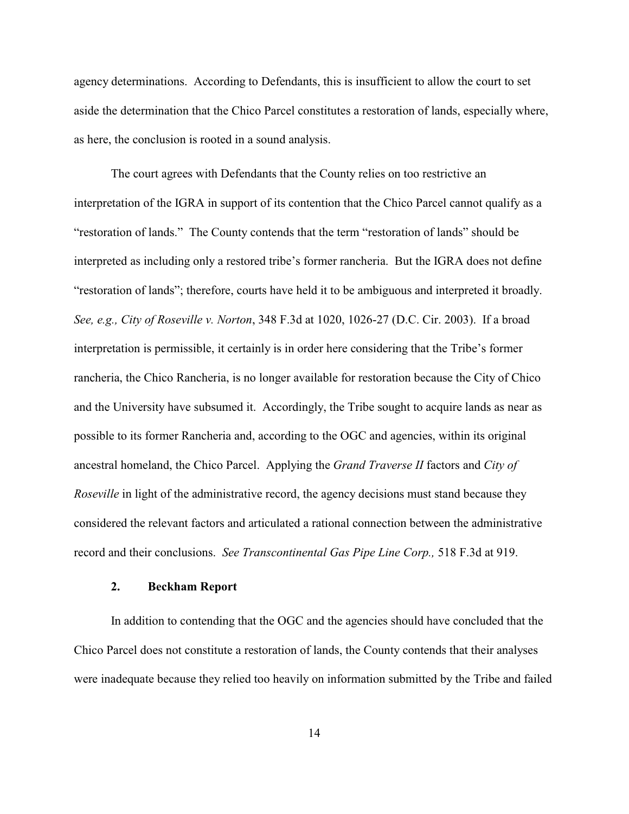agency determinations. According to Defendants, this is insufficient to allow the court to set aside the determination that the Chico Parcel constitutes a restoration of lands, especially where, as here, the conclusion is rooted in a sound analysis.

The court agrees with Defendants that the County relies on too restrictive an interpretation of the IGRA in support of its contention that the Chico Parcel cannot qualify as a "restoration of lands." The County contends that the term "restoration of lands" should be interpreted as including only a restored tribe's former rancheria. But the IGRA does not define "restoration of lands"; therefore, courts have held it to be ambiguous and interpreted it broadly. *See, e.g., City of Roseville v. Norton*, 348 F.3d at 1020, 1026-27 (D.C. Cir. 2003). If a broad interpretation is permissible, it certainly is in order here considering that the Tribe's former rancheria, the Chico Rancheria, is no longer available for restoration because the City of Chico and the University have subsumed it. Accordingly, the Tribe sought to acquire lands as near as possible to its former Rancheria and, according to the OGC and agencies, within its original ancestral homeland, the Chico Parcel. Applying the *Grand Traverse II* factors and *City of Roseville* in light of the administrative record, the agency decisions must stand because they considered the relevant factors and articulated a rational connection between the administrative record and their conclusions. *See Transcontinental Gas Pipe Line Corp.,* 518 F.3d at 919.

#### **2. Beckham Report**

In addition to contending that the OGC and the agencies should have concluded that the Chico Parcel does not constitute a restoration of lands, the County contends that their analyses were inadequate because they relied too heavily on information submitted by the Tribe and failed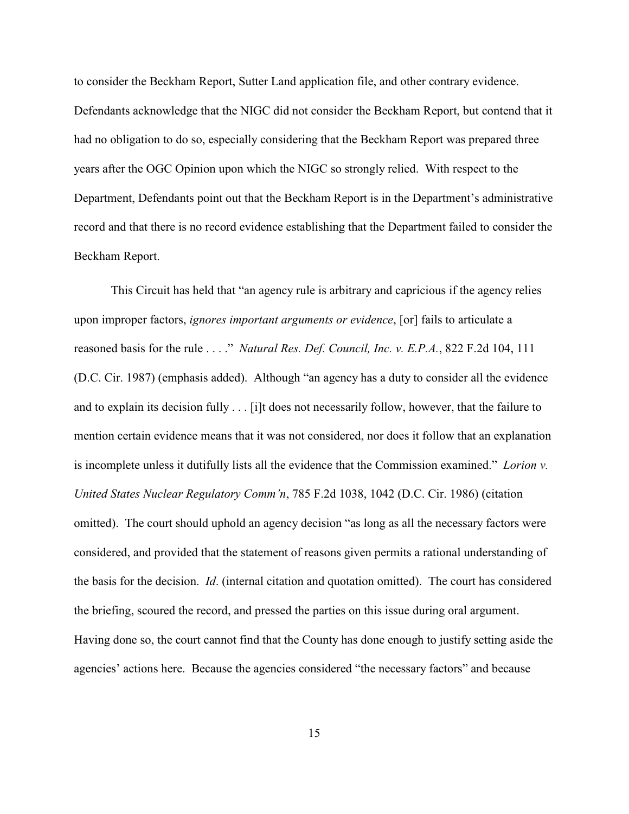to consider the Beckham Report, Sutter Land application file, and other contrary evidence. Defendants acknowledge that the NIGC did not consider the Beckham Report, but contend that it had no obligation to do so, especially considering that the Beckham Report was prepared three years after the OGC Opinion upon which the NIGC so strongly relied. With respect to the Department, Defendants point out that the Beckham Report is in the Department's administrative record and that there is no record evidence establishing that the Department failed to consider the Beckham Report.

This Circuit has held that "an agency rule is arbitrary and capricious if the agency relies upon improper factors, *ignores important arguments or evidence*, [or] fails to articulate a reasoned basis for the rule . . . ." *Natural Res. Def. Council, Inc. v. E.P.A.*, 822 F.2d 104, 111 (D.C. Cir. 1987) (emphasis added). Although "an agency has a duty to consider all the evidence and to explain its decision fully . . . [i]t does not necessarily follow, however, that the failure to mention certain evidence means that it was not considered, nor does it follow that an explanation is incomplete unless it dutifully lists all the evidence that the Commission examined." *Lorion v. United States Nuclear Regulatory Comm'n*, 785 F.2d 1038, 1042 (D.C. Cir. 1986) (citation omitted). The court should uphold an agency decision "as long as all the necessary factors were considered, and provided that the statement of reasons given permits a rational understanding of the basis for the decision. *Id*. (internal citation and quotation omitted). The court has considered the briefing, scoured the record, and pressed the parties on this issue during oral argument. Having done so, the court cannot find that the County has done enough to justify setting aside the agencies' actions here. Because the agencies considered "the necessary factors" and because